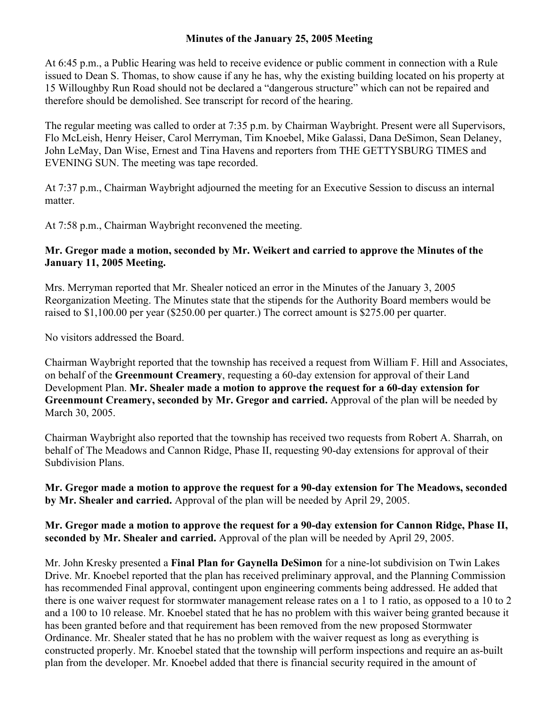## **Minutes of the January 25, 2005 Meeting**

At 6:45 p.m., a Public Hearing was held to receive evidence or public comment in connection with a Rule issued to Dean S. Thomas, to show cause if any he has, why the existing building located on his property at 15 Willoughby Run Road should not be declared a "dangerous structure" which can not be repaired and therefore should be demolished. See transcript for record of the hearing.

The regular meeting was called to order at 7:35 p.m. by Chairman Waybright. Present were all Supervisors, Flo McLeish, Henry Heiser, Carol Merryman, Tim Knoebel, Mike Galassi, Dana DeSimon, Sean Delaney, John LeMay, Dan Wise, Ernest and Tina Havens and reporters from THE GETTYSBURG TIMES and EVENING SUN. The meeting was tape recorded.

At 7:37 p.m., Chairman Waybright adjourned the meeting for an Executive Session to discuss an internal matter

At 7:58 p.m., Chairman Waybright reconvened the meeting.

## **Mr. Gregor made a motion, seconded by Mr. Weikert and carried to approve the Minutes of the January 11, 2005 Meeting.**

Mrs. Merryman reported that Mr. Shealer noticed an error in the Minutes of the January 3, 2005 Reorganization Meeting. The Minutes state that the stipends for the Authority Board members would be raised to \$1,100.00 per year (\$250.00 per quarter.) The correct amount is \$275.00 per quarter.

No visitors addressed the Board.

Chairman Waybright reported that the township has received a request from William F. Hill and Associates, on behalf of the **Greenmount Creamery**, requesting a 60-day extension for approval of their Land Development Plan. **Mr. Shealer made a motion to approve the request for a 60-day extension for Greenmount Creamery, seconded by Mr. Gregor and carried.** Approval of the plan will be needed by March 30, 2005.

Chairman Waybright also reported that the township has received two requests from Robert A. Sharrah, on behalf of The Meadows and Cannon Ridge, Phase II, requesting 90-day extensions for approval of their Subdivision Plans.

**Mr. Gregor made a motion to approve the request for a 90-day extension for The Meadows, seconded by Mr. Shealer and carried.** Approval of the plan will be needed by April 29, 2005.

**Mr. Gregor made a motion to approve the request for a 90-day extension for Cannon Ridge, Phase II, seconded by Mr. Shealer and carried.** Approval of the plan will be needed by April 29, 2005.

Mr. John Kresky presented a **Final Plan for Gaynella DeSimon** for a nine-lot subdivision on Twin Lakes Drive. Mr. Knoebel reported that the plan has received preliminary approval, and the Planning Commission has recommended Final approval, contingent upon engineering comments being addressed. He added that there is one waiver request for stormwater management release rates on a 1 to 1 ratio, as opposed to a 10 to 2 and a 100 to 10 release. Mr. Knoebel stated that he has no problem with this waiver being granted because it has been granted before and that requirement has been removed from the new proposed Stormwater Ordinance. Mr. Shealer stated that he has no problem with the waiver request as long as everything is constructed properly. Mr. Knoebel stated that the township will perform inspections and require an as-built plan from the developer. Mr. Knoebel added that there is financial security required in the amount of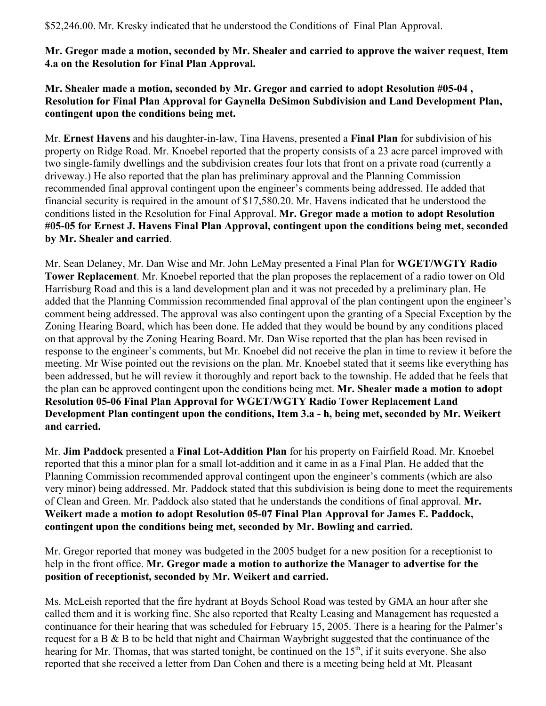\$52,246.00. Mr. Kresky indicated that he understood the Conditions of Final Plan Approval.

**Mr. Gregor made a motion, seconded by Mr. Shealer and carried to approve the waiver request**, **Item 4.a on the Resolution for Final Plan Approval.** 

**Mr. Shealer made a motion, seconded by Mr. Gregor and carried to adopt Resolution #05-04 , Resolution for Final Plan Approval for Gaynella DeSimon Subdivision and Land Development Plan, contingent upon the conditions being met.** 

Mr. **Ernest Havens** and his daughter-in-law, Tina Havens, presented a **Final Plan** for subdivision of his property on Ridge Road. Mr. Knoebel reported that the property consists of a 23 acre parcel improved with two single-family dwellings and the subdivision creates four lots that front on a private road (currently a driveway.) He also reported that the plan has preliminary approval and the Planning Commission recommended final approval contingent upon the engineer's comments being addressed. He added that financial security is required in the amount of \$17,580.20. Mr. Havens indicated that he understood the conditions listed in the Resolution for Final Approval. **Mr. Gregor made a motion to adopt Resolution #05-05 for Ernest J. Havens Final Plan Approval, contingent upon the conditions being met, seconded by Mr. Shealer and carried**.

Mr. Sean Delaney, Mr. Dan Wise and Mr. John LeMay presented a Final Plan for **WGET/WGTY Radio Tower Replacement**. Mr. Knoebel reported that the plan proposes the replacement of a radio tower on Old Harrisburg Road and this is a land development plan and it was not preceded by a preliminary plan. He added that the Planning Commission recommended final approval of the plan contingent upon the engineer's comment being addressed. The approval was also contingent upon the granting of a Special Exception by the Zoning Hearing Board, which has been done. He added that they would be bound by any conditions placed on that approval by the Zoning Hearing Board. Mr. Dan Wise reported that the plan has been revised in response to the engineer's comments, but Mr. Knoebel did not receive the plan in time to review it before the meeting. Mr Wise pointed out the revisions on the plan. Mr. Knoebel stated that it seems like everything has been addressed, but he will review it thoroughly and report back to the township. He added that he feels that the plan can be approved contingent upon the conditions being met. **Mr. Shealer made a motion to adopt Resolution 05-06 Final Plan Approval for WGET/WGTY Radio Tower Replacement Land Development Plan contingent upon the conditions, Item 3.a - h, being met, seconded by Mr. Weikert and carried.** 

Mr. **Jim Paddock** presented a **Final Lot-Addition Plan** for his property on Fairfield Road. Mr. Knoebel reported that this a minor plan for a small lot-addition and it came in as a Final Plan. He added that the Planning Commission recommended approval contingent upon the engineer's comments (which are also very minor) being addressed. Mr. Paddock stated that this subdivision is being done to meet the requirements of Clean and Green. Mr. Paddock also stated that he understands the conditions of final approval. **Mr. Weikert made a motion to adopt Resolution 05-07 Final Plan Approval for James E. Paddock, contingent upon the conditions being met, seconded by Mr. Bowling and carried.** 

Mr. Gregor reported that money was budgeted in the 2005 budget for a new position for a receptionist to help in the front office. **Mr. Gregor made a motion to authorize the Manager to advertise for the position of receptionist, seconded by Mr. Weikert and carried.** 

Ms. McLeish reported that the fire hydrant at Boyds School Road was tested by GMA an hour after she called them and it is working fine. She also reported that Realty Leasing and Management has requested a continuance for their hearing that was scheduled for February 15, 2005. There is a hearing for the Palmer's request for a B & B to be held that night and Chairman Waybright suggested that the continuance of the hearing for Mr. Thomas, that was started tonight, be continued on the  $15<sup>th</sup>$ , if it suits everyone. She also reported that she received a letter from Dan Cohen and there is a meeting being held at Mt. Pleasant